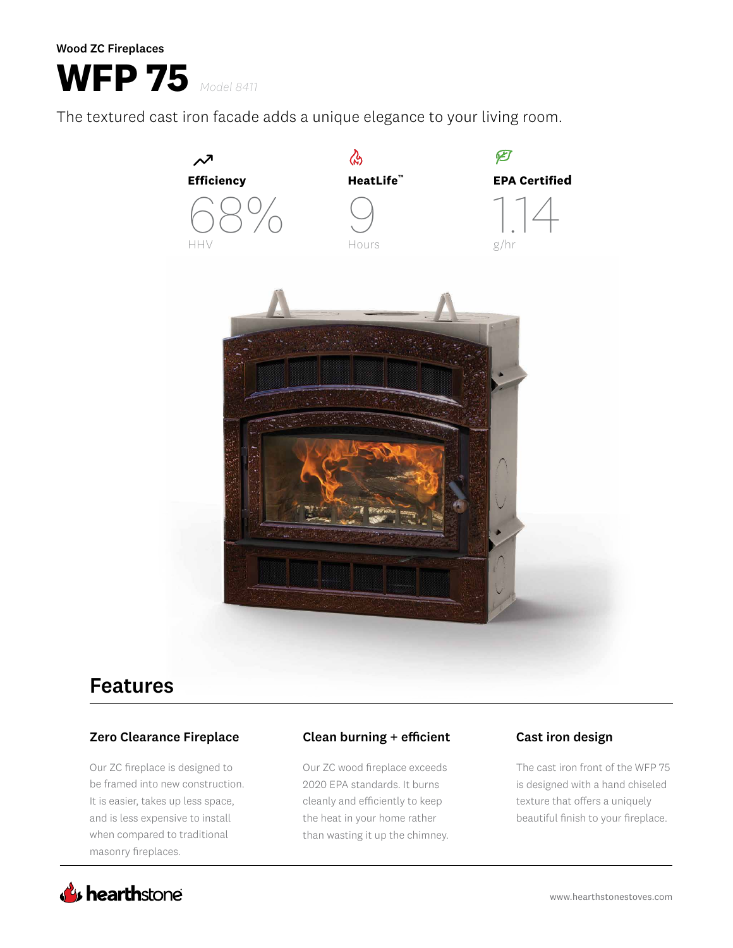# **WFP 75** *Model 8411*

The textured cast iron facade adds a unique elegance to your living room.



# Features

## Zero Clearance Fireplace

Our ZC fireplace is designed to be framed into new construction. It is easier, takes up less space, and is less expensive to install when compared to traditional masonry fireplaces.

# Clean burning + efficient Cast iron design

Our ZC wood fireplace exceeds 2020 EPA standards. It burns cleanly and efficiently to keep the heat in your home rather than wasting it up the chimney.

The cast iron front of the WFP 75 is designed with a hand chiseled texture that offers a uniquely beautiful finish to your fireplace.